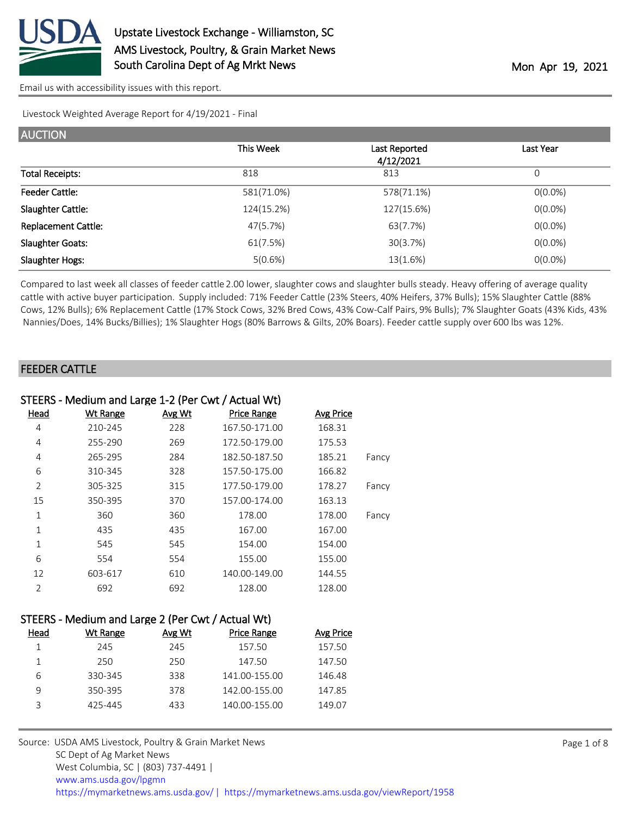

Livestock Weighted Average Report for 4/19/2021 - Final

| <b>AUCTION</b>             |            |                            |            |
|----------------------------|------------|----------------------------|------------|
|                            | This Week  | Last Reported<br>4/12/2021 | Last Year  |
| <b>Total Receipts:</b>     | 818        | 813                        | 0          |
| <b>Feeder Cattle:</b>      | 581(71.0%) | 578(71.1%)                 | $O(0.0\%)$ |
| Slaughter Cattle:          | 124(15.2%) | 127(15.6%)                 | $O(0.0\%)$ |
| <b>Replacement Cattle:</b> | 47(5.7%)   | 63(7.7%)                   | $O(0.0\%)$ |
| <b>Slaughter Goats:</b>    | 61(7.5%)   | 30(3.7%)                   | $O(0.0\%)$ |
| Slaughter Hogs:            | 5(0.6%)    | 13(1.6%)                   | $O(0.0\%)$ |

Compared to last week all classes of feeder cattle 2.00 lower, slaughter cows and slaughter bulls steady. Heavy offering of average quality cattle with active buyer participation. Supply included: 71% Feeder Cattle (23% Steers, 40% Heifers, 37% Bulls); 15% Slaughter Cattle (88% Cows, 12% Bulls); 6% Replacement Cattle (17% Stock Cows, 32% Bred Cows, 43% Cow-Calf Pairs, 9% Bulls); 7% Slaughter Goats (43% Kids, 43% Nannies/Does, 14% Bucks/Billies); 1% Slaughter Hogs (80% Barrows & Gilts, 20% Boars). Feeder cattle supply over 600 lbs was 12%.

#### FEEDER CATTLE

| STEERS - Medium and Large 1-2 (Per Cwt / Actual Wt) |                 |        |                    |                  |       |
|-----------------------------------------------------|-----------------|--------|--------------------|------------------|-------|
| <u>Head</u>                                         | <b>Wt Range</b> | Avg Wt | <b>Price Range</b> | <b>Avg Price</b> |       |
| 4                                                   | 210-245         | 228    | 167.50-171.00      | 168.31           |       |
| 4                                                   | 255-290         | 269    | 172.50-179.00      | 175.53           |       |
| 4                                                   | 265-295         | 284    | 182.50-187.50      | 185.21           | Fancy |
| 6                                                   | 310-345         | 328    | 157.50-175.00      | 166.82           |       |
| $\overline{2}$                                      | 305-325         | 315    | 177.50-179.00      | 178.27           | Fancy |
| 15                                                  | 350-395         | 370    | 157.00-174.00      | 163.13           |       |
| 1                                                   | 360             | 360    | 178.00             | 178.00           | Fancy |
| 1                                                   | 435             | 435    | 167.00             | 167.00           |       |
| 1                                                   | 545             | 545    | 154.00             | 154.00           |       |
| 6                                                   | 554             | 554    | 155.00             | 155.00           |       |
| 12                                                  | 603-617         | 610    | 140.00-149.00      | 144.55           |       |
| $\mathfrak{D}$                                      | 692             | 692    | 128.00             | 128.00           |       |

| STEERS - Medium and Large 2 (Per Cwt / Actual Wt) |  |  |  |  |
|---------------------------------------------------|--|--|--|--|
|                                                   |  |  |  |  |

| Head | Wt Range | Avg Wt | <b>Price Range</b> | Avg Price |
|------|----------|--------|--------------------|-----------|
|      | 245      | 245    | 157.50             | 157.50    |
|      | 250      | 250    | 147.50             | 147.50    |
| 6    | 330-345  | 338    | 141.00-155.00      | 146.48    |
|      | 350-395  | 378    | 142.00-155.00      | 147.85    |
| ₹    | 425-445  | 433    | 140.00-155.00      | 149.07    |
|      |          |        |                    |           |

Source: USDA AMS Livestock, Poultry & Grain Market News SC Dept of Ag Market News West Columbia, SC | (803) 737-4491 | [www.ams.usda.gov/lpgmn](https://www.ams.usda.gov/market-news) <https://mymarketnews.ams.usda.gov/> [|](https://www.ams.usda.gov/market-news) <https://mymarketnews.ams.usda.gov/viewReport/1958>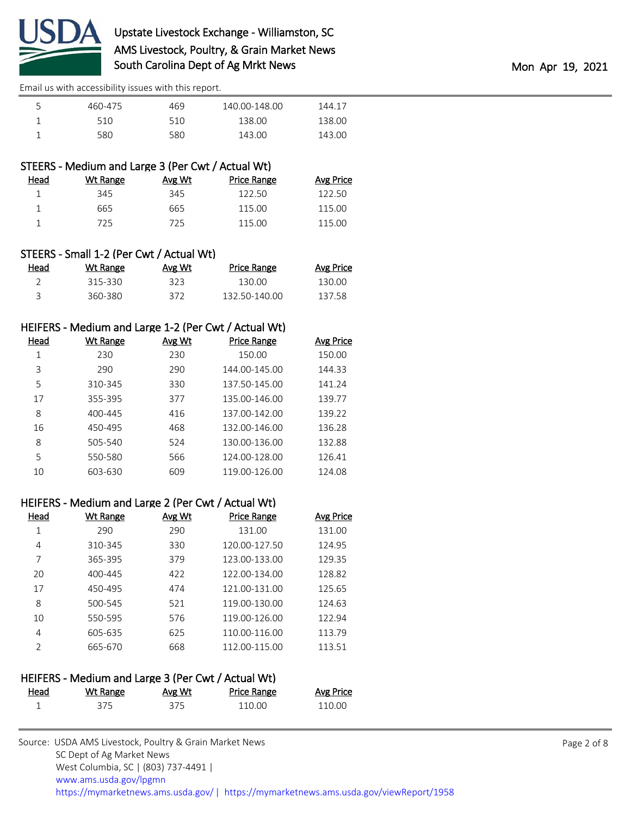

| 460-475 | 469  | 140.00-148.00 | 144.17 |
|---------|------|---------------|--------|
| 510     | 51 O | 138.00        | 138.00 |
| 580.    | 580  | 143.00        | 143.00 |

| STEERS - Medium and Large 3 (Per Cwt / Actual Wt) |
|---------------------------------------------------|
|                                                   |

| Wt Range | Avg Wt | <b>Price Range</b> | <b>Avg Price</b> |
|----------|--------|--------------------|------------------|
| 345      | 345    | 122.50             | 122.50           |
| 665      | 665    | 115.00             | 115.00           |
| 725      | 725    | 115.00             | 115.00           |
|          |        |                    |                  |

| STEERS - Small 1-2 (Per Cwt / Actual Wt) |  |  |  |
|------------------------------------------|--|--|--|
|------------------------------------------|--|--|--|

| Head | Wt Range | Avg Wt | <b>Price Range</b> | <b>Avg Price</b> |
|------|----------|--------|--------------------|------------------|
|      | 315-330  | 323    | 130.00             | 130.OO           |
|      | 360-380  | 372    | 132.50-140.00      | 137.58           |

### HEIFERS - Medium and Large 1-2 (Per Cwt / Actual Wt)

| Head | Wt Range | Avg Wt | Price Range   | Avg Price |
|------|----------|--------|---------------|-----------|
|      | 230      | 230    | 150.00        | 150.00    |
| 3    | 290      | 290    | 144.00-145.00 | 144.33    |
| 5    | 310-345  | 330    | 137.50-145.00 | 141.24    |
| 17   | 355-395  | 377    | 135.00-146.00 | 139.77    |
| 8    | 400-445  | 416    | 137.00-142.00 | 139.22    |
| 16   | 450-495  | 468    | 132.00-146.00 | 136.28    |
| 8    | 505-540  | 524    | 130.00-136.00 | 132.88    |
| 5    | 550-580  | 566    | 124.00-128.00 | 126.41    |
| 10   | 603-630  | 609    | 119.00-126.00 | 124.08    |

### HEIFERS - Medium and Large 2 (Per Cwt / Actual Wt)

| Head          | Wt Range | Avg Wt | <b>Price Range</b> | Avg Price |
|---------------|----------|--------|--------------------|-----------|
|               | 290      | 290    | 131.00             | 131.00    |
| 4             | 310-345  | 330    | 120.00-127.50      | 124.95    |
| 7             | 365-395  | 379    | 123.00-133.00      | 129.35    |
| 20            | 400-445  | 422    | 122.00-134.00      | 128.82    |
| 17            | 450-495  | 474    | 121.00-131.00      | 125.65    |
| 8             | 500-545  | 521    | 119.00-130.00      | 124.63    |
| 10            | 550-595  | 576    | 119.00-126.00      | 122.94    |
| 4             | 605-635  | 625    | 110.00-116.00      | 113.79    |
| $\mathcal{P}$ | 665-670  | 668    | 112.00-115.00      | 113.51    |

### HEIFERS - Medium and Large 3 (Per Cwt / Actual Wt)

| Head<br><u> 1980 - Johann Barnett, fransk politiker (d. 1980)</u> | Wt Range | Avg Wt | <b>Price Range</b> | <b>Avg Price</b> |
|-------------------------------------------------------------------|----------|--------|--------------------|------------------|
|                                                                   | 375      | 375    | 110.00             | 110.00           |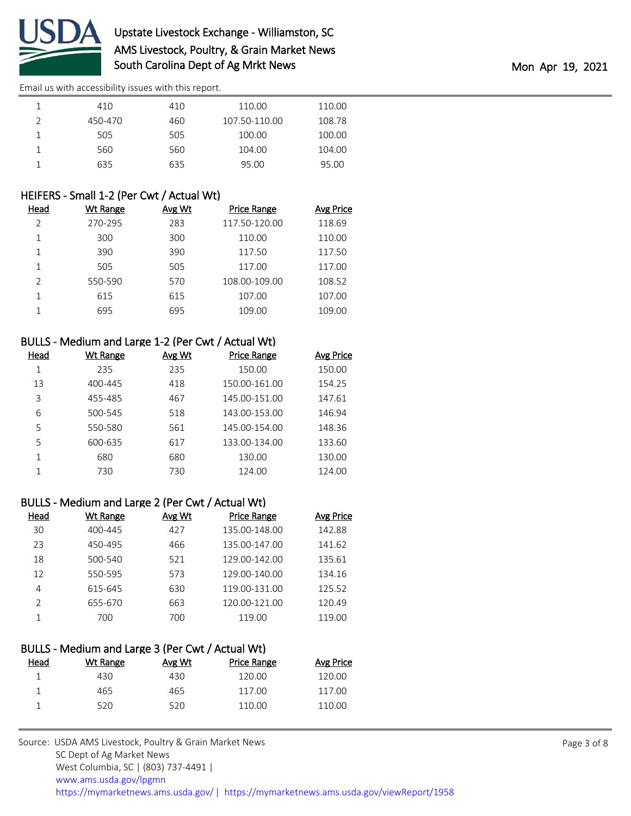

# Upstate Livestock Exchange - Williamston, SC AMS Livestock, Poultry, & Grain Market News South Carolina Dept of Ag Mrkt News and the Month of Apr 19, 2021

[Email us with accessibility issues with this report.](mailto:mars@ams.usda.gov?subject=508%20issue)

| 410     | 410 | 110.00        | 110.00 |  |
|---------|-----|---------------|--------|--|
| 450-470 | 460 | 107.50-110.00 | 108.78 |  |
| 505     | 505 | 100.00        | 100.00 |  |
| 560     | 560 | 104.00        | 104.00 |  |
| 635     | 635 | 95.00         | 95.00  |  |

### HEIFERS - Small 1-2 (Per Cwt / Actual Wt)

| Head           | Wt Range | Avg Wt | <b>Price Range</b> | <b>Avg Price</b> |
|----------------|----------|--------|--------------------|------------------|
| $\mathfrak{D}$ | 270-295  | 283    | 117.50-120.00      | 118.69           |
| 1              | 300      | 300    | 110.00             | 110.00           |
|                | 390      | 390    | 117.50             | 117.50           |
| 1              | 505      | 505    | 117.00             | 117.00           |
| $\mathcal{P}$  | 550-590  | 570    | 108.00-109.00      | 108.52           |
| 1              | 615      | 615    | 107.00             | 107.00           |
|                | 695      | 695    | 109.00             | 109.00           |

### BULLS - Medium and Large 1-2 (Per Cwt / Actual Wt)

| Head | Wt Range | Avg Wt | <b>Price Range</b> | Avg Price |
|------|----------|--------|--------------------|-----------|
| 1    | 235      | 235    | 150.00             | 150.00    |
| 13   | 400-445  | 418    | 150.00-161.00      | 154.25    |
| 3    | 455-485  | 467    | 145.00-151.00      | 147.61    |
| 6    | 500-545  | 518    | 143.00-153.00      | 146.94    |
| 5    | 550-580  | 561    | 145.00-154.00      | 148.36    |
| 5    | 600-635  | 617    | 133.00-134.00      | 133.60    |
| 1    | 680      | 680    | 130.00             | 130.00    |
| 1    | 730      | 730    | 124.00             | 124.00    |

### BULLS - Medium and Large 2 (Per Cwt / Actual Wt)

| Head          | Wt Range | Avg Wt | <b>Price Range</b> | Avg Price |
|---------------|----------|--------|--------------------|-----------|
| 30            | 400-445  | 427    | 135.00-148.00      | 142.88    |
| 23            | 450-495  | 466    | 135.00-147.00      | 141.62    |
| 18            | 500-540  | 521    | 129.00-142.00      | 135.61    |
| 12            | 550-595  | 573    | 129.00-140.00      | 134.16    |
| 4             | 615-645  | 630    | 119.00-131.00      | 125.52    |
| $\mathcal{P}$ | 655-670  | 663    | 120.00-121.00      | 120.49    |
|               | 700      | 700    | 119.00             | 119.00    |

| BULLS - Medium and Large 3 (Per Cwt / Actual Wt) |          |        |                    |                  |  |  |  |  |
|--------------------------------------------------|----------|--------|--------------------|------------------|--|--|--|--|
| Head                                             | Wt Range | Avg Wt | <b>Price Range</b> | <b>Avg Price</b> |  |  |  |  |
|                                                  | 430      | 430    | 120.00             | 120.00           |  |  |  |  |
|                                                  | 465      | 465    | 117.00             | 117.00           |  |  |  |  |
|                                                  | 520      | 520    | 110.00             | 110.00           |  |  |  |  |
|                                                  |          |        |                    |                  |  |  |  |  |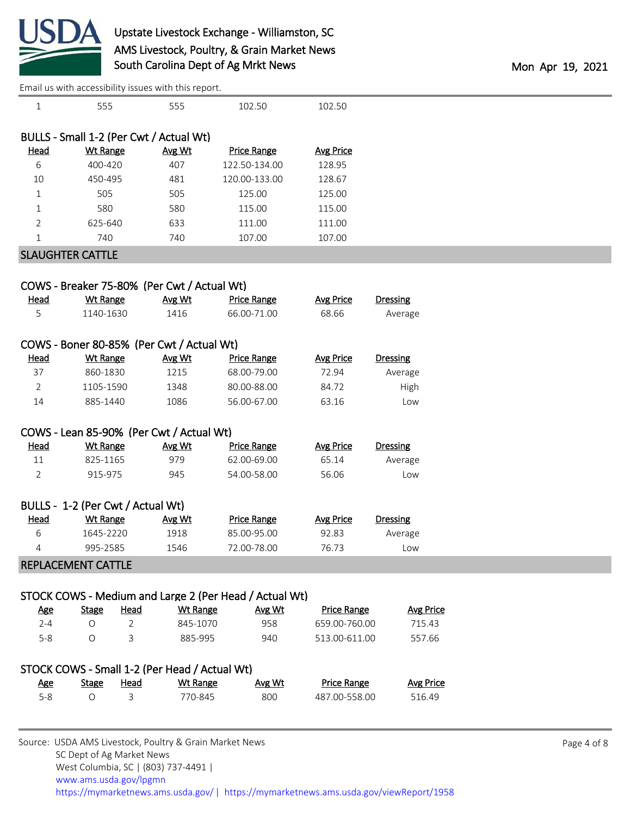

# Upstate Livestock Exchange - Williamston, SC AMS Livestock, Poultry, & Grain Market News South Carolina Dept of Ag Mrkt News Montana and The Montana Montana Montana Apr 19, 2021

|                |                                   |                | Email us with accessibility issues with this report. |                                                        |                    |                  |  |
|----------------|-----------------------------------|----------------|------------------------------------------------------|--------------------------------------------------------|--------------------|------------------|--|
| $\mathbf 1$    | 555                               |                | 555                                                  | 102.50                                                 | 102.50             |                  |  |
|                |                                   |                |                                                      |                                                        |                    |                  |  |
|                |                                   |                | BULLS - Small 1-2 (Per Cwt / Actual Wt)              |                                                        |                    |                  |  |
| <b>Head</b>    | <b>Wt Range</b>                   |                | Avg Wt                                               | <b>Price Range</b>                                     | <b>Avg Price</b>   |                  |  |
| 6              | 400-420                           |                | 407                                                  | 122.50-134.00                                          | 128.95             |                  |  |
| 10             | 450-495                           |                | 481                                                  | 120.00-133.00                                          | 128.67             |                  |  |
| 1              | 505                               |                | 505                                                  | 125.00                                                 | 125.00             |                  |  |
| 1              | 580                               |                | 580                                                  | 115.00                                                 | 115.00             |                  |  |
| $\overline{2}$ | 625-640                           |                | 633                                                  | 111.00                                                 | 111.00             |                  |  |
| 1              | 740                               |                | 740                                                  | 107.00                                                 | 107.00             |                  |  |
|                | <b>SLAUGHTER CATTLE</b>           |                |                                                      |                                                        |                    |                  |  |
|                |                                   |                |                                                      |                                                        |                    |                  |  |
|                |                                   |                | COWS - Breaker 75-80% (Per Cwt / Actual Wt)          |                                                        |                    |                  |  |
| <b>Head</b>    | <b>Wt Range</b>                   |                | Avg Wt                                               | <b>Price Range</b>                                     | <b>Avg Price</b>   | <b>Dressing</b>  |  |
| 5              | 1140-1630                         |                | 1416                                                 | 66.00-71.00                                            | 68.66              | Average          |  |
|                |                                   |                |                                                      |                                                        |                    |                  |  |
|                |                                   |                | COWS - Boner 80-85% (Per Cwt / Actual Wt)            |                                                        |                    |                  |  |
| <b>Head</b>    | <b>Wt Range</b>                   |                | Avg Wt                                               | <b>Price Range</b>                                     | <b>Avg Price</b>   | <b>Dressing</b>  |  |
| 37             | 860-1830                          |                | 1215                                                 | 68.00-79.00                                            | 72.94              | Average          |  |
| $\overline{2}$ | 1105-1590                         |                | 1348                                                 | 80.00-88.00                                            | 84.72              | High             |  |
| 14             | 885-1440                          |                | 1086                                                 | 56.00-67.00                                            | 63.16              | Low              |  |
|                |                                   |                |                                                      |                                                        |                    |                  |  |
|                |                                   |                | COWS - Lean 85-90% (Per Cwt / Actual Wt)             |                                                        |                    |                  |  |
| <b>Head</b>    | <b>Wt Range</b>                   |                | Avg Wt                                               | <b>Price Range</b>                                     | <b>Avg Price</b>   | <b>Dressing</b>  |  |
| 11             | 825-1165                          |                | 979                                                  | 62.00-69.00                                            | 65.14              | Average          |  |
| $\overline{2}$ | 915-975                           |                | 945                                                  | 54.00-58.00                                            | 56.06              | Low              |  |
|                |                                   |                |                                                      |                                                        |                    |                  |  |
|                | BULLS - 1-2 (Per Cwt / Actual Wt) |                |                                                      |                                                        |                    |                  |  |
| <b>Head</b>    | <b>Wt Range</b>                   |                | Avg Wt                                               | <b>Price Range</b>                                     | <b>Avg Price</b>   | <b>Dressing</b>  |  |
| 6              | 1645-2220                         |                | 1918                                                 | 85.00-95.00                                            | 92.83              | Average          |  |
| 4              | 995-2585                          |                | 1546                                                 | 72.00-78.00                                            | 76.73              | Low              |  |
|                | <b>REPLACEMENT CATTLE</b>         |                |                                                      |                                                        |                    |                  |  |
|                |                                   |                |                                                      |                                                        |                    |                  |  |
|                |                                   |                |                                                      | STOCK COWS - Medium and Large 2 (Per Head / Actual Wt) |                    |                  |  |
| <b>Age</b>     | <b>Stage</b>                      | Head           | <b>Wt Range</b>                                      | Avg Wt                                                 | <b>Price Range</b> | <b>Avg Price</b> |  |
| $2 - 4$        | $\circ$                           | $\overline{2}$ | 845-1070                                             | 958                                                    | 659.00-760.00      | 715.43           |  |
| $5-8$          | $\circ$                           | 3              | 885-995                                              | 940                                                    | 513.00-611.00      | 557.66           |  |
|                |                                   |                |                                                      |                                                        |                    |                  |  |
|                |                                   |                | STOCK COWS - Small 1-2 (Per Head / Actual Wt)        |                                                        |                    |                  |  |
| <b>Age</b>     | <b>Stage</b>                      | <u>Head</u>    | Wt Range                                             | Avg Wt                                                 | <b>Price Range</b> | <b>Avg Price</b> |  |
| $5 - 8$        | $\bigcirc$                        | 3              | 770-845                                              | 800                                                    | 487.00-558.00      | 516.49           |  |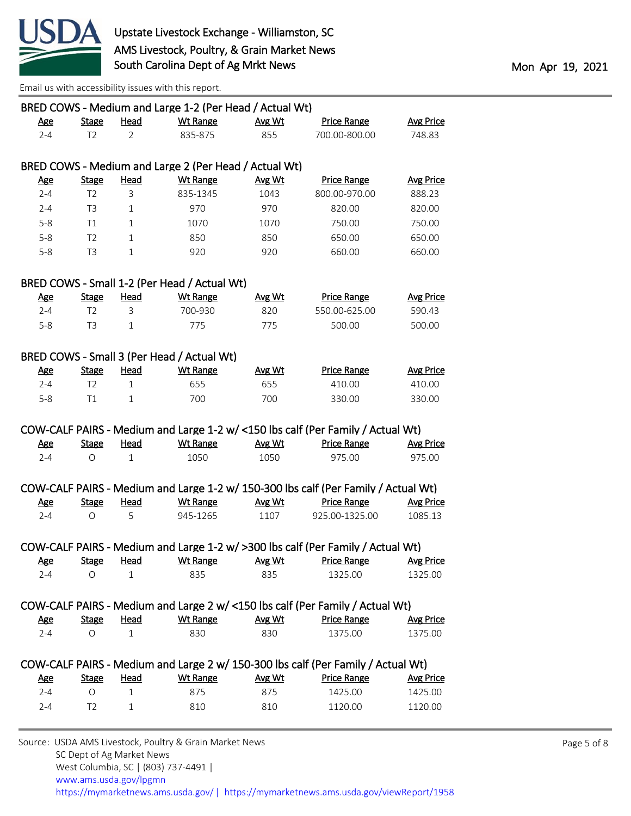

|            |                |                | BRED COWS - Medium and Large 1-2 (Per Head / Actual Wt) |        |                                                                                    |                  |
|------------|----------------|----------------|---------------------------------------------------------|--------|------------------------------------------------------------------------------------|------------------|
| <b>Age</b> | <b>Stage</b>   | <b>Head</b>    | <b>Wt Range</b>                                         | Avg Wt | <b>Price Range</b>                                                                 | <b>Avg Price</b> |
| $2 - 4$    | T <sub>2</sub> | $\overline{2}$ | 835-875                                                 | 855    | 700.00-800.00                                                                      | 748.83           |
|            |                |                |                                                         |        |                                                                                    |                  |
|            |                |                | BRED COWS - Medium and Large 2 (Per Head / Actual Wt)   |        |                                                                                    |                  |
| <b>Age</b> | <b>Stage</b>   | <b>Head</b>    | <b>Wt Range</b>                                         | Avg Wt | <b>Price Range</b>                                                                 | <b>Avg Price</b> |
| $2 - 4$    | T <sub>2</sub> | 3              | 835-1345                                                | 1043   | 800.00-970.00                                                                      | 888.23           |
| $2 - 4$    | T3             | $\mathbf{1}$   | 970                                                     | 970    | 820.00                                                                             | 820.00           |
| $5 - 8$    | Τ1             | $\mathbf{1}$   | 1070                                                    | 1070   | 750.00                                                                             | 750.00           |
| $5 - 8$    | T <sub>2</sub> | $\mathbf{1}$   | 850                                                     | 850    | 650.00                                                                             | 650.00           |
| $5 - 8$    | T <sub>3</sub> | $\mathbf{1}$   | 920                                                     | 920    | 660.00                                                                             | 660.00           |
|            |                |                | BRED COWS - Small 1-2 (Per Head / Actual Wt)            |        |                                                                                    |                  |
| <u>Age</u> | <b>Stage</b>   | <b>Head</b>    | <b>Wt Range</b>                                         | Avg Wt | <b>Price Range</b>                                                                 | <b>Avg Price</b> |
| $2 - 4$    | T <sub>2</sub> | 3              | 700-930                                                 | 820    | 550.00-625.00                                                                      | 590.43           |
| $5 - 8$    | T <sub>3</sub> | $\mathbf{1}$   | 775                                                     | 775    | 500.00                                                                             | 500.00           |
|            |                |                |                                                         |        |                                                                                    |                  |
|            |                |                | BRED COWS - Small 3 (Per Head / Actual Wt)              |        |                                                                                    |                  |
| <u>Age</u> | <b>Stage</b>   | <b>Head</b>    | <b>Wt Range</b>                                         | Avg Wt | <b>Price Range</b>                                                                 | <b>Avg Price</b> |
| $2 - 4$    | T <sub>2</sub> | $\mathbf{1}$   | 655                                                     | 655    | 410.00                                                                             | 410.00           |
| $5 - 8$    | T1             | $\mathbf{1}$   | 700                                                     | 700    | 330.00                                                                             | 330.00           |
|            |                |                |                                                         |        |                                                                                    |                  |
|            |                |                |                                                         |        | COW-CALF PAIRS - Medium and Large 1-2 w/ <150 lbs calf (Per Family / Actual Wt)    |                  |
| <b>Age</b> | <b>Stage</b>   | <u>Head</u>    | <b>Wt Range</b>                                         | Avg Wt | <b>Price Range</b>                                                                 | <b>Avg Price</b> |
| $2 - 4$    | $\circ$        | $\mathbf{1}$   | 1050                                                    | 1050   | 975.00                                                                             | 975.00           |
|            |                |                |                                                         |        |                                                                                    |                  |
|            |                |                |                                                         |        | COW-CALF PAIRS - Medium and Large 1-2 w/ 150-300 lbs calf (Per Family / Actual Wt) |                  |
| <u>Age</u> | <b>Stage</b>   | <b>Head</b>    | <b>Wt Range</b>                                         | Avg Wt | <b>Price Range</b>                                                                 | <b>Avg Price</b> |
| $2 - 4$    | $\circ$        | 5              | 945-1265                                                | 1107   | 925.00-1325.00                                                                     | 1085.13          |
|            |                |                |                                                         |        |                                                                                    |                  |
|            |                |                |                                                         |        | COW-CALF PAIRS - Medium and Large 1-2 w/ >300 lbs calf (Per Family / Actual Wt)    |                  |
| <u>Age</u> |                |                |                                                         |        | Stage Head Wt Range Avg Wt Price Range Avg Price                                   |                  |
| $2 - 4$    | 0              | 1              | 835                                                     | 835    | 1325.00                                                                            | 1325.00          |
|            |                |                |                                                         |        |                                                                                    |                  |
|            |                |                |                                                         |        | COW-CALF PAIRS - Medium and Large 2 w/ <150 lbs calf (Per Family / Actual Wt)      |                  |
| <u>Age</u> | <b>Stage</b>   | <b>Head</b>    | <b>Wt Range</b>                                         | Avg Wt | <b>Price Range</b>                                                                 | <b>Avg Price</b> |
| $2 - 4$    | $\circ$        | $\mathbf{1}$   | 830                                                     | 830    | 1375.00                                                                            | 1375.00          |
|            |                |                |                                                         |        |                                                                                    |                  |
|            |                |                |                                                         |        | COW-CALF PAIRS - Medium and Large 2 w/ 150-300 lbs calf (Per Family / Actual Wt)   |                  |
| <b>Age</b> | <b>Stage</b>   | <b>Head</b>    | <b>Wt Range</b>                                         | Avg Wt | <b>Price Range</b>                                                                 | <b>Avg Price</b> |
| $2 - 4$    | O              | $\mathbf{1}$   | 875                                                     | 875    | 1425.00                                                                            | 1425.00          |
| $2 - 4$    | T <sub>2</sub> | $\mathbf{1}$   | 810                                                     | 810    | 1120.00                                                                            | 1120.00          |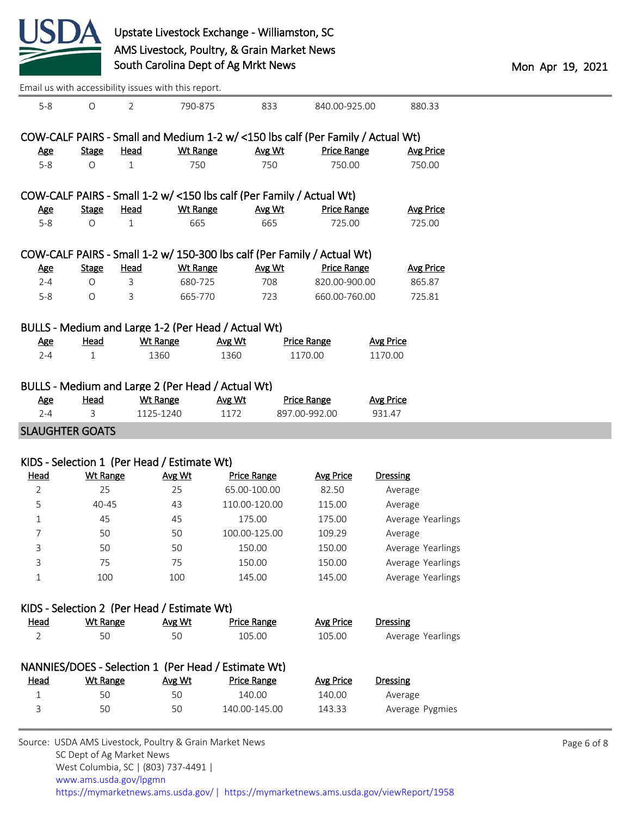

| Email us with accessibility issues with this report. |                       |                |                                                                        |                |                         |                                                                                 |                            |                              |
|------------------------------------------------------|-----------------------|----------------|------------------------------------------------------------------------|----------------|-------------------------|---------------------------------------------------------------------------------|----------------------------|------------------------------|
| $5-8$                                                | $\bigcirc$            | $\overline{2}$ | 790-875                                                                |                | 833                     | 840.00-925.00                                                                   |                            | 880.33                       |
|                                                      |                       |                |                                                                        |                |                         | COW-CALF PAIRS - Small and Medium 1-2 w/ <150 lbs calf (Per Family / Actual Wt) |                            |                              |
| <b>Age</b>                                           | <b>Stage</b>          | <b>Head</b>    | <b>Wt Range</b>                                                        |                | Avg Wt                  | <b>Price Range</b>                                                              |                            | <b>Avg Price</b>             |
| $5-8$                                                | $\bigcirc$            | $\mathbf{1}$   | 750                                                                    |                | 750                     | 750.00                                                                          |                            | 750.00                       |
|                                                      |                       |                |                                                                        |                |                         |                                                                                 |                            |                              |
|                                                      |                       |                |                                                                        |                |                         | COW-CALF PAIRS - Small 1-2 w/ <150 lbs calf (Per Family / Actual Wt)            |                            |                              |
| <u>Age</u>                                           | <b>Stage</b>          | <b>Head</b>    | <b>Wt Range</b>                                                        |                | Avg Wt                  | <b>Price Range</b>                                                              |                            | <b>Avg Price</b>             |
| $5-8$                                                | $\bigcirc$            | $\mathbf{1}$   | 665                                                                    |                | 665                     | 725.00                                                                          |                            | 725.00                       |
|                                                      |                       |                |                                                                        |                |                         | COW-CALF PAIRS - Small 1-2 w/ 150-300 lbs calf (Per Family / Actual Wt)         |                            |                              |
| <b>Age</b>                                           | <b>Stage</b>          | Head           | <b>Wt Range</b>                                                        |                | Avg Wt                  | <b>Price Range</b>                                                              |                            | <b>Avg Price</b>             |
| $2 - 4$                                              | $\bigcirc$            | 3              | 680-725                                                                |                | 708                     | 820.00-900.00                                                                   |                            | 865.87                       |
| $5-8$                                                | $\bigcirc$            | 3              | 665-770                                                                |                | 723                     | 660.00-760.00                                                                   |                            | 725.81                       |
|                                                      |                       |                |                                                                        |                |                         |                                                                                 |                            |                              |
| <b>Age</b>                                           | <b>Head</b>           |                | BULLS - Medium and Large 1-2 (Per Head / Actual Wt)<br><b>Wt Range</b> | Avg Wt         |                         | <b>Price Range</b>                                                              | <b>Avg Price</b>           |                              |
| $2 - 4$                                              | $\mathbf{1}$          |                | 1360                                                                   | 1360           |                         | 1170.00                                                                         | 1170.00                    |                              |
|                                                      |                       |                | BULLS - Medium and Large 2 (Per Head / Actual Wt)                      |                |                         |                                                                                 |                            |                              |
| <b>Age</b><br>$2 - 4$                                | <b>Head</b><br>3      |                | <b>Wt Range</b><br>1125-1240                                           | Avg Wt<br>1172 |                         | <b>Price Range</b><br>897.00-992.00                                             | <b>Avg Price</b><br>931.47 |                              |
|                                                      |                       |                |                                                                        |                |                         |                                                                                 |                            |                              |
|                                                      |                       |                |                                                                        |                |                         |                                                                                 |                            |                              |
|                                                      |                       |                | KIDS - Selection 1 (Per Head / Estimate Wt)                            |                |                         |                                                                                 |                            |                              |
| <b>Head</b>                                          | <b>Wt Range</b><br>25 |                | Avg Wt                                                                 |                | <b>Price Range</b>      | <b>Avg Price</b>                                                                |                            | <b>Dressing</b>              |
| $\overline{2}$                                       | 40-45                 |                | 25<br>43                                                               |                | 65.00-100.00            | 82.50                                                                           |                            | Average                      |
| 5                                                    | 45                    |                | 45                                                                     |                | 110.00-120.00<br>175.00 | 115.00<br>175.00                                                                |                            | Average                      |
| $\mathbf 1$<br>7                                     | 50                    |                | 50                                                                     |                | 100.00-125.00           | 109.29                                                                          |                            | Average Yearlings<br>Average |
| 3                                                    | 50                    |                | 50                                                                     |                | 150.00                  | 150.00                                                                          |                            | Average Yearlings            |
| 3                                                    | 75                    |                | 75                                                                     |                | 150.00                  | 150.00                                                                          |                            | Average Yearlings            |
| 1                                                    | 100                   |                | 100                                                                    |                | 145.00                  | 145.00                                                                          |                            | Average Yearlings            |
|                                                      |                       |                |                                                                        |                |                         |                                                                                 |                            |                              |
|                                                      |                       |                | KIDS - Selection 2 (Per Head / Estimate Wt)                            |                |                         |                                                                                 |                            |                              |
| <u>Head</u>                                          | <b>Wt Range</b>       |                | Avg Wt                                                                 |                | <b>Price Range</b>      | <b>Avg Price</b>                                                                | Dressing                   |                              |
| $\overline{2}$                                       | 50                    |                | 50                                                                     |                | 105.00                  | 105.00                                                                          |                            | Average Yearlings            |
| <b>SLAUGHTER GOATS</b>                               |                       |                | NANNIES/DOES - Selection 1 (Per Head / Estimate Wt)                    |                |                         |                                                                                 |                            |                              |
| <u>Head</u>                                          | <b>Wt Range</b>       |                | Avg Wt                                                                 |                | <b>Price Range</b>      | <b>Avg Price</b>                                                                | Dressing                   |                              |
| $\mathbf{1}$                                         | 50                    |                | 50                                                                     |                | 140.00                  | 140.00                                                                          |                            | Average                      |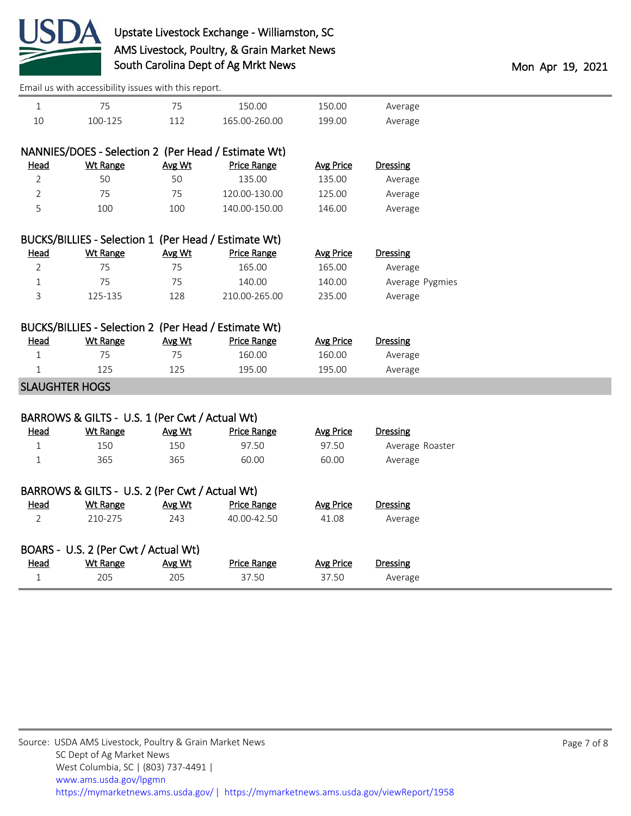

|                       | Lindii us with accessibility issues with this report. |        |                                                                            |                  |                 |  |
|-----------------------|-------------------------------------------------------|--------|----------------------------------------------------------------------------|------------------|-----------------|--|
| $\mathbf{1}$          | 75                                                    | 75     | 150.00                                                                     | 150.00           | Average         |  |
| 10                    | 100-125                                               | 112    | 165.00-260.00                                                              | 199.00           | Average         |  |
|                       |                                                       |        |                                                                            |                  |                 |  |
|                       |                                                       |        | NANNIES/DOES - Selection 2 (Per Head / Estimate Wt)                        |                  |                 |  |
| Head                  | <b>Wt Range</b>                                       | Avg Wt | <b>Price Range</b>                                                         | <b>Avg Price</b> | Dressing        |  |
| 2                     | 50                                                    | 50     | 135.00                                                                     | 135.00           | Average         |  |
| $\overline{2}$        | 75                                                    | 75     | 120.00-130.00                                                              | 125.00           | Average         |  |
| 5                     | 100                                                   | 100    | 140.00-150.00                                                              | 146.00           | Average         |  |
|                       |                                                       |        |                                                                            |                  |                 |  |
| Head                  | <b>Wt Range</b>                                       | Avg Wt | BUCKS/BILLIES - Selection 1 (Per Head / Estimate Wt)<br><b>Price Range</b> | <b>Avg Price</b> | Dressing        |  |
| $\overline{2}$        | 75                                                    | 75     | 165.00                                                                     | 165.00           | Average         |  |
| 1                     | 75                                                    | 75     | 140.00                                                                     | 140.00           | Average Pygmies |  |
| 3                     | 125-135                                               | 128    | 210.00-265.00                                                              | 235.00           | Average         |  |
|                       |                                                       |        |                                                                            |                  |                 |  |
|                       | BUCKS/BILLIES - Selection 2 (Per Head / Estimate Wt)  |        |                                                                            |                  |                 |  |
| Head                  | <b>Wt Range</b>                                       | Avg Wt | <b>Price Range</b>                                                         | <b>Avg Price</b> | <b>Dressing</b> |  |
| $\mathbf{1}$          | 75                                                    | 75     | 160.00                                                                     | 160.00           | Average         |  |
| $\mathbf{1}$          | 125                                                   | 125    | 195.00                                                                     | 195.00           | Average         |  |
| <b>SLAUGHTER HOGS</b> |                                                       |        |                                                                            |                  |                 |  |
|                       |                                                       |        |                                                                            |                  |                 |  |
|                       | BARROWS & GILTS - U.S. 1 (Per Cwt / Actual Wt)        |        |                                                                            |                  |                 |  |
| Head                  | <b>Wt Range</b>                                       | Avg Wt | <b>Price Range</b>                                                         | <b>Avg Price</b> | Dressing        |  |
| $\mathbf{1}$          | 150                                                   | 150    | 97.50                                                                      | 97.50            | Average Roaster |  |
| $\mathbf{1}$          | 365                                                   | 365    | 60.00                                                                      | 60.00            | Average         |  |
|                       |                                                       |        |                                                                            |                  |                 |  |
|                       | BARROWS & GILTS - U.S. 2 (Per Cwt / Actual Wt)        |        |                                                                            |                  |                 |  |
| <b>Head</b>           | <b>Wt Range</b>                                       | Avg Wt | <b>Price Range</b>                                                         | <b>Avg Price</b> | <b>Dressing</b> |  |
| $\overline{2}$        | 210-275                                               | 243    | 40.00-42.50                                                                | 41.08            | Average         |  |
|                       | BOARS - U.S. 2 (Per Cwt / Actual Wt)                  |        |                                                                            |                  |                 |  |
| Head                  | <b>Wt Range</b>                                       | Avg Wt | <b>Price Range</b>                                                         | <b>Avg Price</b> | <b>Dressing</b> |  |
| $\mathbf 1$           | 205                                                   | 205    | 37.50                                                                      | 37.50            | Average         |  |
|                       |                                                       |        |                                                                            |                  |                 |  |